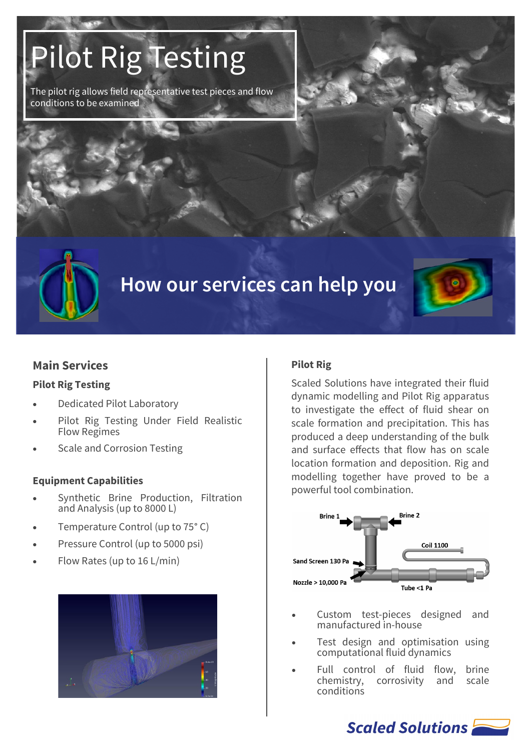# Pilot Rig Testing

The pilot rig allows field representative test pieces and flow conditions to be examined





### **Main Services**

#### **Pilot Rig Testing**

- Dedicated Pilot Laboratory
- Pilot Rig Testing Under Field Realistic Flow Regimes
- Scale and Corrosion Testing

#### **Equipment Capabilities**

- Synthetic Brine Production, Filtration and Analysis (up to 8000 L)
- Temperature Control (up to 75° C)
- Pressure Control (up to 5000 psi)
- Flow Rates (up to 16 L/min)



#### **Pilot Rig**

Scaled Solutions have integrated their fluid dynamic modelling and Pilot Rig apparatus to investigate the effect of fluid shear on scale formation and precipitation. This has produced a deep understanding of the bulk and surface effects that flow has on scale location formation and deposition. Rig and modelling together have proved to be a powerful tool combination.



- Custom test-pieces designed and manufactured in-house
- Test design and optimisation using computational fluid dynamics
- Full control of fluid flow, brine chemistry, corrosivity and scale conditions

Scaled Solutions